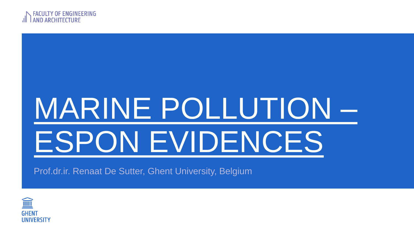

# MARINE POLLUTION – ESPON EVIDENCES

Prof.dr.ir. Renaat De Sutter, Ghent University, Belgium

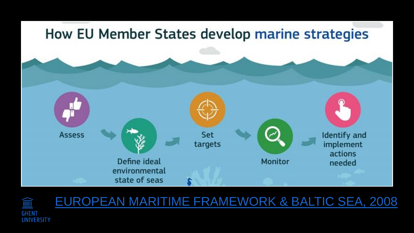



#### EUROPEAN MARITIME FRAMEWORK & BALTIC SEA, 2008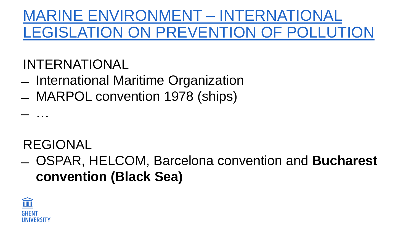#### MARINE ENVIRONMENT – INTERNATIONAL LEGISLATION ON PREVENTION OF POLLUTION

#### INTERNATIONAL

- ̶ International Maritime Organization
- ̶ MARPOL convention 1978 (ships)

#### REGIONAL

̶ …

̶ OSPAR, HELCOM, Barcelona convention and **Bucharest convention (Black Sea)** 

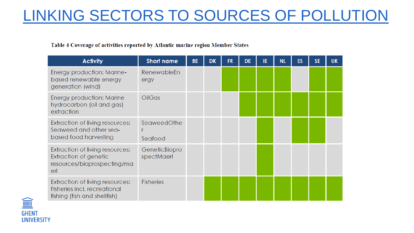### LINKING SECTORS TO SOURCES OF POLLUTION

#### Table 4 Coverage of activities reported by Atlantic marine region Member States

| <b>Activity</b>                                                                                 | <b>Short name</b>           | <b>BE</b> | <b>DK</b> | <b>FR</b> | <b>DE</b> | IE | <b>NL</b> | ES | <b>SE</b> | <b>UK</b> |
|-------------------------------------------------------------------------------------------------|-----------------------------|-----------|-----------|-----------|-----------|----|-----------|----|-----------|-----------|
| <b>Energy production: Marine-</b><br>based renewable energy<br>generation (wind)                | <b>RenewableEn</b><br>ergy  |           |           |           |           |    |           |    |           |           |
| Energy production: Marine<br>hydrocarbon (oil and gas)<br>extraction                            | <b>OilGas</b>               |           |           |           |           |    |           |    |           |           |
| Extraction of living resources:<br>Seaweed and other sea-<br>based food harvesting              | SeaweedOthe<br>Seafood      |           |           |           |           |    |           |    |           |           |
| Extraction of living resources:<br>Extraction of genetic<br>resources/bioprospecting/ma<br>erl  | GeneticBiopro<br>spectMaerl |           |           |           |           |    |           |    |           |           |
| Extraction of living resources:<br>Fisheries incl. recreational<br>fishing (fish and shellfish) | <b>Fisheries</b>            |           |           |           |           |    |           |    |           |           |

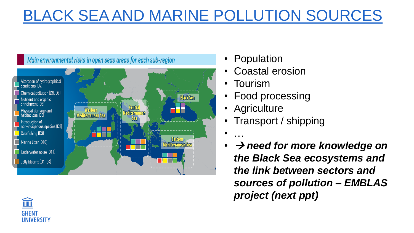# BLACK SEA AND MARINE POLLUTION SOURCES



- Population
- Coastal erosion
- Tourism
- Food processing
- **Agriculture**
- Transport / shipping
- …
- *need for more knowledge on the Black Sea ecosystems and the link between sectors and sources of pollution – EMBLAS project (next ppt)*

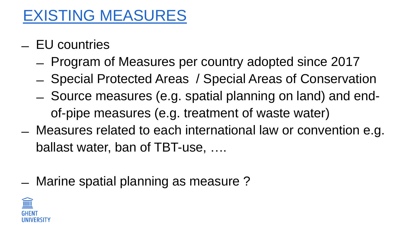#### EXISTING MEASURES

- ̶ EU countries
	- ̶ Program of Measures per country adopted since 2017
	- ̶ Special Protected Areas / Special Areas of Conservation
	- ̶ Source measures (e.g. spatial planning on land) and endof-pipe measures (e.g. treatment of waste water)
- ̶ Measures related to each international law or convention e.g. ballast water, ban of TBT-use, ….
- ̶ Marine spatial planning as measure ?